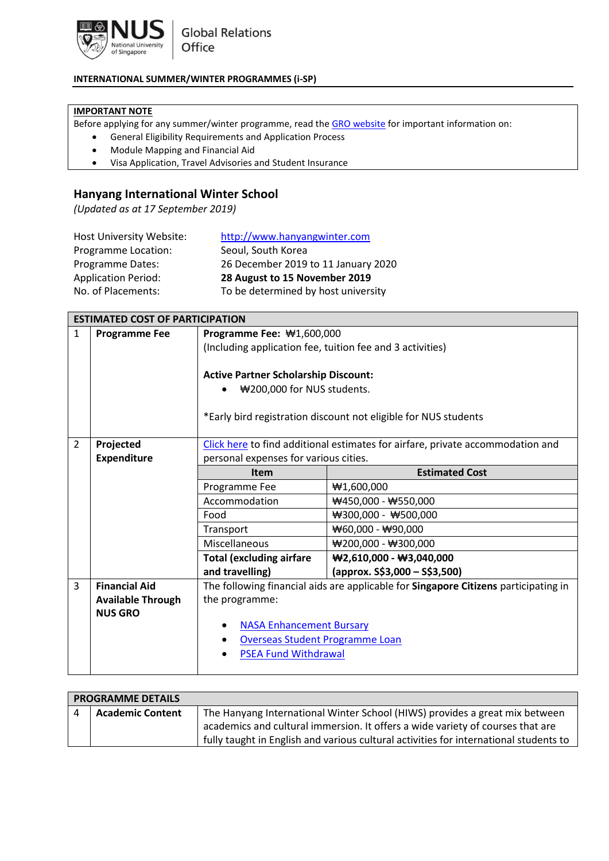

## **INTERNATIONAL SUMMER/WINTER PROGRAMMES (i-SP)**

## **IMPORTANT NOTE**

Before applying for any summer/winter programme, read th[e GRO website](http://nus.edu.sg/gro/summer-winter.php) for important information on:

- General Eligibility Requirements and Application Process
- Module Mapping and Financial Aid
- Visa Application, Travel Advisories and Student Insurance

## **Hanyang International Winter School**

*(Updated as at 17 September 2019)*

| <b>Host University Website:</b> | http://www.hanyangwinter.com        |
|---------------------------------|-------------------------------------|
| Programme Location:             | Seoul, South Korea                  |
| <b>Programme Dates:</b>         | 26 December 2019 to 11 January 2020 |
| <b>Application Period:</b>      | 28 August to 15 November 2019       |
| No. of Placements:              | To be determined by host university |

|                | <b>ESTIMATED COST OF PARTICIPATION</b> |                                                           |                                                                                     |
|----------------|----------------------------------------|-----------------------------------------------------------|-------------------------------------------------------------------------------------|
| $\mathbf{1}$   | <b>Programme Fee</b>                   | Programme Fee: \#1,600,000                                |                                                                                     |
|                |                                        | (Including application fee, tuition fee and 3 activities) |                                                                                     |
|                |                                        |                                                           |                                                                                     |
|                |                                        | <b>Active Partner Scholarship Discount:</b>               |                                                                                     |
|                |                                        | ₩200,000 for NUS students.                                |                                                                                     |
|                |                                        |                                                           |                                                                                     |
|                |                                        |                                                           | *Early bird registration discount not eligible for NUS students                     |
|                |                                        |                                                           |                                                                                     |
| $\overline{2}$ | Projected                              |                                                           | Click here to find additional estimates for airfare, private accommodation and      |
|                | <b>Expenditure</b>                     | personal expenses for various cities.                     |                                                                                     |
|                |                                        | <b>Item</b>                                               | <b>Estimated Cost</b>                                                               |
|                |                                        | Programme Fee                                             | #1,600,000                                                                          |
|                |                                        | Accommodation                                             | $\#450,000 - \#550,000$                                                             |
|                |                                        | Food                                                      | $\text{W}300,000 - \text{W}500,000$                                                 |
|                |                                        | Transport                                                 | $\bigstar$ 60,000 - $\bigstar$ 90,000                                               |
|                |                                        | Miscellaneous                                             | ₩200,000 - ₩300,000                                                                 |
|                |                                        | <b>Total (excluding airfare</b>                           | $\text{W2}, 610,000 - \text{W3}, 040,000$                                           |
|                |                                        | and travelling)                                           | $\frac{1}{2}$ (approx. S\$3,000 – S\$3,500)                                         |
| 3              | <b>Financial Aid</b>                   |                                                           | The following financial aids are applicable for Singapore Citizens participating in |
|                | <b>Available Through</b>               | the programme:                                            |                                                                                     |
|                | <b>NUS GRO</b>                         |                                                           |                                                                                     |
|                |                                        | <b>NASA Enhancement Bursary</b>                           |                                                                                     |
|                |                                        | <b>Overseas Student Programme Loan</b>                    |                                                                                     |
|                |                                        | <b>PSEA Fund Withdrawal</b>                               |                                                                                     |
|                |                                        |                                                           |                                                                                     |

| <b>PROGRAMME DETAILS</b> |                         |                                                                                       |
|--------------------------|-------------------------|---------------------------------------------------------------------------------------|
|                          | <b>Academic Content</b> | The Hanyang International Winter School (HIWS) provides a great mix between           |
|                          |                         | academics and cultural immersion. It offers a wide variety of courses that are        |
|                          |                         | fully taught in English and various cultural activities for international students to |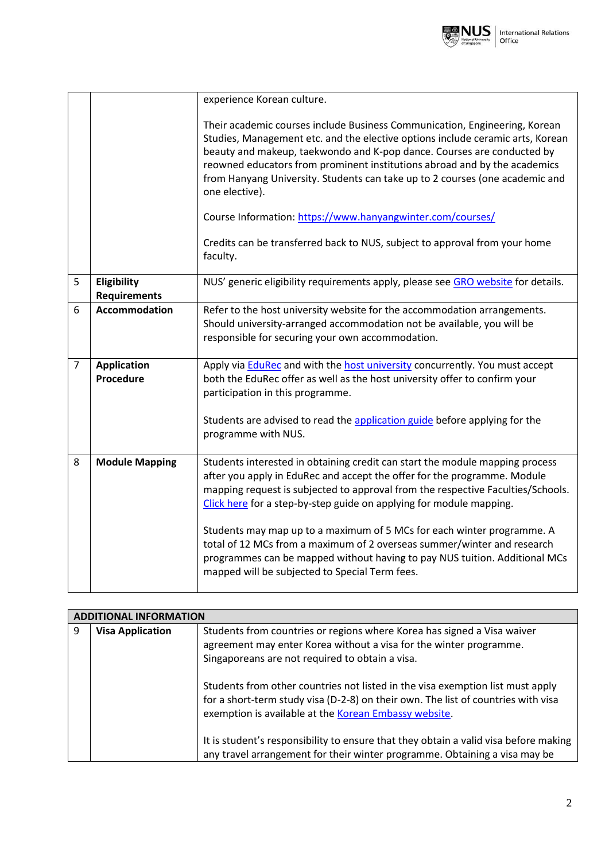

|                |                                    | experience Korean culture.                                                                                                                                                                                                                                                                                                                                                                                            |
|----------------|------------------------------------|-----------------------------------------------------------------------------------------------------------------------------------------------------------------------------------------------------------------------------------------------------------------------------------------------------------------------------------------------------------------------------------------------------------------------|
|                |                                    | Their academic courses include Business Communication, Engineering, Korean<br>Studies, Management etc. and the elective options include ceramic arts, Korean<br>beauty and makeup, taekwondo and K-pop dance. Courses are conducted by<br>reowned educators from prominent institutions abroad and by the academics<br>from Hanyang University. Students can take up to 2 courses (one academic and<br>one elective). |
|                |                                    | Course Information: https://www.hanyangwinter.com/courses/                                                                                                                                                                                                                                                                                                                                                            |
|                |                                    | Credits can be transferred back to NUS, subject to approval from your home<br>faculty.                                                                                                                                                                                                                                                                                                                                |
| 5              | Eligibility<br><b>Requirements</b> | NUS' generic eligibility requirements apply, please see GRO website for details.                                                                                                                                                                                                                                                                                                                                      |
| 6              | <b>Accommodation</b>               | Refer to the host university website for the accommodation arrangements.<br>Should university-arranged accommodation not be available, you will be<br>responsible for securing your own accommodation.                                                                                                                                                                                                                |
| $\overline{7}$ | <b>Application</b><br>Procedure    | Apply via <b>EduRec</b> and with the host university concurrently. You must accept<br>both the EduRec offer as well as the host university offer to confirm your<br>participation in this programme.                                                                                                                                                                                                                  |
|                |                                    | Students are advised to read the application guide before applying for the<br>programme with NUS.                                                                                                                                                                                                                                                                                                                     |
| 8              | <b>Module Mapping</b>              | Students interested in obtaining credit can start the module mapping process<br>after you apply in EduRec and accept the offer for the programme. Module<br>mapping request is subjected to approval from the respective Faculties/Schools.<br>Click here for a step-by-step guide on applying for module mapping.                                                                                                    |
|                |                                    | Students may map up to a maximum of 5 MCs for each winter programme. A<br>total of 12 MCs from a maximum of 2 overseas summer/winter and research<br>programmes can be mapped without having to pay NUS tuition. Additional MCs<br>mapped will be subjected to Special Term fees.                                                                                                                                     |

| <b>ADDITIONAL INFORMATION</b> |                         |                                                                                                                                                                                                                              |
|-------------------------------|-------------------------|------------------------------------------------------------------------------------------------------------------------------------------------------------------------------------------------------------------------------|
| 9                             | <b>Visa Application</b> | Students from countries or regions where Korea has signed a Visa waiver<br>agreement may enter Korea without a visa for the winter programme.<br>Singaporeans are not required to obtain a visa.                             |
|                               |                         | Students from other countries not listed in the visa exemption list must apply<br>for a short-term study visa (D-2-8) on their own. The list of countries with visa<br>exemption is available at the Korean Embassy website. |
|                               |                         | It is student's responsibility to ensure that they obtain a valid visa before making<br>any travel arrangement for their winter programme. Obtaining a visa may be                                                           |